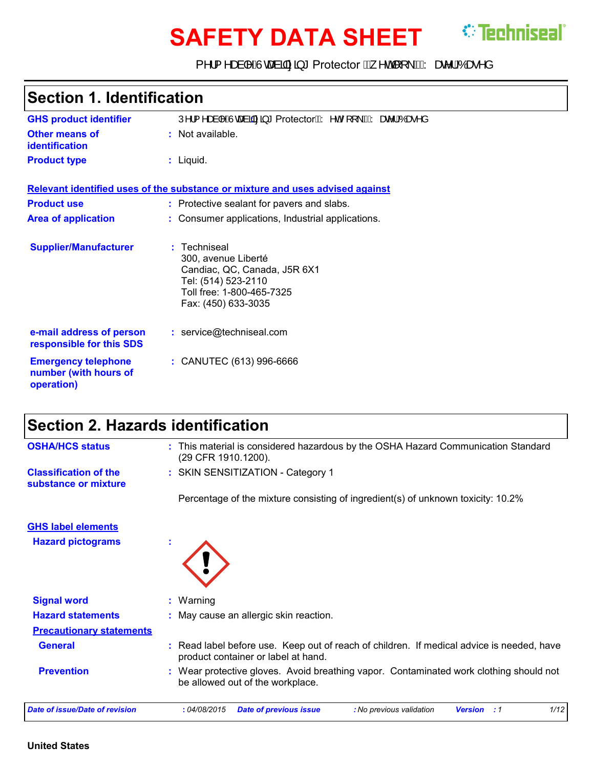# **SAFETY DATA SHEET** <sup>*C***Techniseal<sup>®</sup>**</sup>

P^¦{ ^æà|^ÁJœàããã ∛ Protector  $\tilde{E}_A$  ^o $\frac{N}{N}$  [ \  $\frac{N}{N}$  æ^¦ÁÓæ^å

| <b>Section 1. Identification</b>                                  |                                                                                                                                                |  |  |  |
|-------------------------------------------------------------------|------------------------------------------------------------------------------------------------------------------------------------------------|--|--|--|
| <b>GHS product identifier</b>                                     | Ú^¦{^æà ^ÁÙ cæàãjãã #* ProtectorÉÁY^okŠi [\ÁËAYæ^!ÁÓæ^å                                                                                        |  |  |  |
| Other means of<br><b>identification</b>                           | : Not available.                                                                                                                               |  |  |  |
| <b>Product type</b>                                               | $:$ Liquid.                                                                                                                                    |  |  |  |
|                                                                   | Relevant identified uses of the substance or mixture and uses advised against                                                                  |  |  |  |
| <b>Product use</b>                                                | : Protective sealant for pavers and slabs.                                                                                                     |  |  |  |
| <b>Area of application</b>                                        | : Consumer applications, Industrial applications.                                                                                              |  |  |  |
| <b>Supplier/Manufacturer</b>                                      | : Techniseal<br>300, avenue Liberté<br>Candiac, QC, Canada, J5R 6X1<br>Tel: (514) 523-2110<br>Toll free: 1-800-465-7325<br>Fax: (450) 633-3035 |  |  |  |
| e-mail address of person<br>responsible for this SDS              | : service@techniseal.com                                                                                                                       |  |  |  |
| <b>Emergency telephone</b><br>number (with hours of<br>operation) | : CANUTEC (613) 996-6666                                                                                                                       |  |  |  |

### **Section 2. Hazards identification**

| <b>OSHA/HCS status</b>                               | : This material is considered hazardous by the OSHA Hazard Communication Standard<br>(29 CFR 1910.1200).                         |  |  |  |  |
|------------------------------------------------------|----------------------------------------------------------------------------------------------------------------------------------|--|--|--|--|
| <b>Classification of the</b><br>substance or mixture | : SKIN SENSITIZATION - Category 1                                                                                                |  |  |  |  |
|                                                      | Percentage of the mixture consisting of ingredient(s) of unknown toxicity: 10.2%                                                 |  |  |  |  |
| <b>GHS label elements</b>                            |                                                                                                                                  |  |  |  |  |
| <b>Hazard pictograms</b>                             |                                                                                                                                  |  |  |  |  |
| <b>Signal word</b>                                   | : Warning                                                                                                                        |  |  |  |  |
| <b>Hazard statements</b>                             | : May cause an allergic skin reaction.                                                                                           |  |  |  |  |
| <b>Precautionary statements</b>                      |                                                                                                                                  |  |  |  |  |
| <b>General</b>                                       | : Read label before use. Keep out of reach of children. If medical advice is needed, have<br>product container or label at hand. |  |  |  |  |
| <b>Prevention</b>                                    | : Wear protective gloves. Avoid breathing vapor. Contaminated work clothing should not<br>be allowed out of the workplace.       |  |  |  |  |
| <b>Date of issue/Date of revision</b>                | 1/12<br>: 04/08/2015<br><b>Date of previous issue</b><br>: No previous validation<br><b>Version</b> : 1                          |  |  |  |  |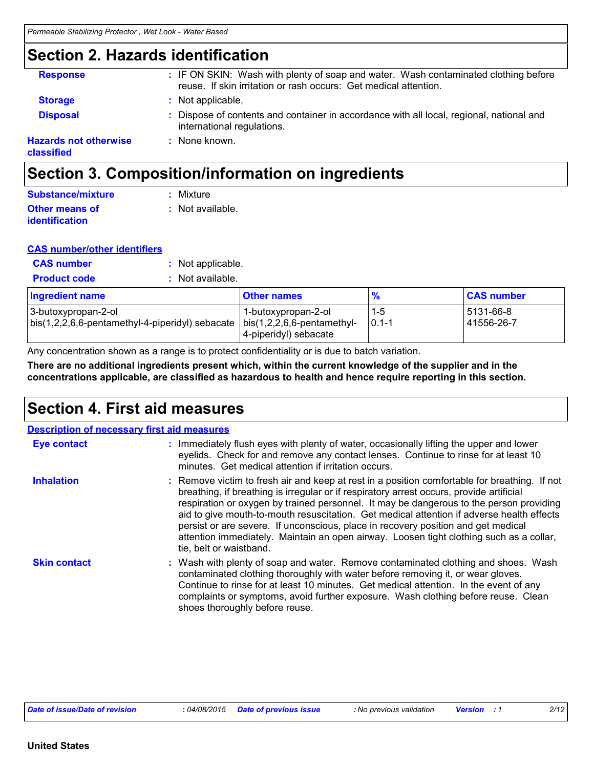### **Section 2. Hazards identification**

| <b>Hazards not otherwise</b><br>classified | : None known.                                                                                                                                           |
|--------------------------------------------|---------------------------------------------------------------------------------------------------------------------------------------------------------|
| <b>Disposal</b>                            | Dispose of contents and container in accordance with all local, regional, national and<br>international regulations.                                    |
| <b>Storage</b>                             | : Not applicable.                                                                                                                                       |
| <b>Response</b>                            | : IF ON SKIN: Wash with plenty of soap and water. Wash contaminated clothing before<br>reuse. If skin irritation or rash occurs: Get medical attention. |

### **Section 3. Composition/information on ingredients**

| <b>Substance/mixture</b> | : Mixture        |
|--------------------------|------------------|
| <b>Other means of</b>    | : Not available. |
| identification           |                  |

#### **CAS number/other identifiers**

| <b>CAS number</b>                                                      | : Not applicable. |                                                                            |                      |                         |
|------------------------------------------------------------------------|-------------------|----------------------------------------------------------------------------|----------------------|-------------------------|
| <b>Product code</b>                                                    | Not available.    |                                                                            |                      |                         |
| <b>Ingredient name</b>                                                 |                   | <b>Other names</b>                                                         | $\frac{9}{6}$        | <b>CAS number</b>       |
| 3-butoxypropan-2-ol<br>bis(1,2,2,6,6-pentamethyl-4-piperidyl) sebacate |                   | 1-butoxypropan-2-ol<br>bis(1,2,2,6,6-pentamethyl-<br>4-piperidyl) sebacate | $1 - 5$<br>$0.1 - 1$ | 5131-66-8<br>41556-26-7 |

Any concentration shown as a range is to protect confidentiality or is due to batch variation.

**There are no additional ingredients present which, within the current knowledge of the supplier and in the concentrations applicable, are classified as hazardous to health and hence require reporting in this section.**

### **Section 4. First aid measures**

| <b>Description of necessary first aid measures</b> |                                                                                                                                                                                                                                                                                                                                                                                                                                                                                                                                                                                              |
|----------------------------------------------------|----------------------------------------------------------------------------------------------------------------------------------------------------------------------------------------------------------------------------------------------------------------------------------------------------------------------------------------------------------------------------------------------------------------------------------------------------------------------------------------------------------------------------------------------------------------------------------------------|
| <b>Eye contact</b>                                 | : Immediately flush eyes with plenty of water, occasionally lifting the upper and lower<br>eyelids. Check for and remove any contact lenses. Continue to rinse for at least 10<br>minutes. Get medical attention if irritation occurs.                                                                                                                                                                                                                                                                                                                                                       |
| <b>Inhalation</b>                                  | : Remove victim to fresh air and keep at rest in a position comfortable for breathing. If not<br>breathing, if breathing is irregular or if respiratory arrest occurs, provide artificial<br>respiration or oxygen by trained personnel. It may be dangerous to the person providing<br>aid to give mouth-to-mouth resuscitation. Get medical attention if adverse health effects<br>persist or are severe. If unconscious, place in recovery position and get medical<br>attention immediately. Maintain an open airway. Loosen tight clothing such as a collar,<br>tie, belt or waistband. |
| <b>Skin contact</b>                                | : Wash with plenty of soap and water. Remove contaminated clothing and shoes. Wash<br>contaminated clothing thoroughly with water before removing it, or wear gloves.<br>Continue to rinse for at least 10 minutes. Get medical attention. In the event of any<br>complaints or symptoms, avoid further exposure. Wash clothing before reuse. Clean<br>shoes thoroughly before reuse.                                                                                                                                                                                                        |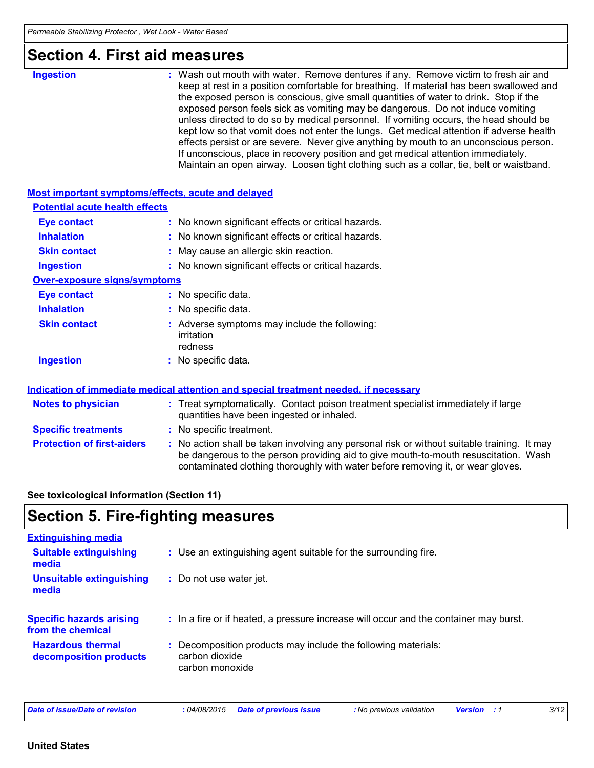### **Section 4. First aid measures**

| <b>Ingestion</b>                                          | : Wash out mouth with water. Remove dentures if any. Remove victim to fresh air and<br>keep at rest in a position comfortable for breathing. If material has been swallowed and<br>the exposed person is conscious, give small quantities of water to drink. Stop if the<br>exposed person feels sick as vomiting may be dangerous. Do not induce vomiting<br>unless directed to do so by medical personnel. If vomiting occurs, the head should be<br>kept low so that vomit does not enter the lungs. Get medical attention if adverse health<br>effects persist or are severe. Never give anything by mouth to an unconscious person.<br>If unconscious, place in recovery position and get medical attention immediately.<br>Maintain an open airway. Loosen tight clothing such as a collar, tie, belt or waistband. |  |  |  |  |  |
|-----------------------------------------------------------|---------------------------------------------------------------------------------------------------------------------------------------------------------------------------------------------------------------------------------------------------------------------------------------------------------------------------------------------------------------------------------------------------------------------------------------------------------------------------------------------------------------------------------------------------------------------------------------------------------------------------------------------------------------------------------------------------------------------------------------------------------------------------------------------------------------------------|--|--|--|--|--|
| <b>Most important symptoms/effects, acute and delayed</b> |                                                                                                                                                                                                                                                                                                                                                                                                                                                                                                                                                                                                                                                                                                                                                                                                                           |  |  |  |  |  |
| <b>Potential acute health effects</b>                     |                                                                                                                                                                                                                                                                                                                                                                                                                                                                                                                                                                                                                                                                                                                                                                                                                           |  |  |  |  |  |
| <b>Eye contact</b>                                        | : No known significant effects or critical hazards.                                                                                                                                                                                                                                                                                                                                                                                                                                                                                                                                                                                                                                                                                                                                                                       |  |  |  |  |  |
| <b>Inhalation</b>                                         | : No known significant effects or critical hazards.                                                                                                                                                                                                                                                                                                                                                                                                                                                                                                                                                                                                                                                                                                                                                                       |  |  |  |  |  |
| <b>Skin contact</b>                                       | May cause an allergic skin reaction.                                                                                                                                                                                                                                                                                                                                                                                                                                                                                                                                                                                                                                                                                                                                                                                      |  |  |  |  |  |
| <b>Ingestion</b>                                          | : No known significant effects or critical hazards.                                                                                                                                                                                                                                                                                                                                                                                                                                                                                                                                                                                                                                                                                                                                                                       |  |  |  |  |  |
| Over-exposure signs/symptoms                              |                                                                                                                                                                                                                                                                                                                                                                                                                                                                                                                                                                                                                                                                                                                                                                                                                           |  |  |  |  |  |
| <b>Eye contact</b>                                        | : No specific data.                                                                                                                                                                                                                                                                                                                                                                                                                                                                                                                                                                                                                                                                                                                                                                                                       |  |  |  |  |  |
| <b>Inhalation</b>                                         | : No specific data.                                                                                                                                                                                                                                                                                                                                                                                                                                                                                                                                                                                                                                                                                                                                                                                                       |  |  |  |  |  |
| <b>Skin contact</b>                                       | : Adverse symptoms may include the following:<br>irritation<br>redness                                                                                                                                                                                                                                                                                                                                                                                                                                                                                                                                                                                                                                                                                                                                                    |  |  |  |  |  |
| <b>Ingestion</b>                                          | : No specific data.                                                                                                                                                                                                                                                                                                                                                                                                                                                                                                                                                                                                                                                                                                                                                                                                       |  |  |  |  |  |
|                                                           | Indication of immediate medical attention and special treatment needed, if necessary                                                                                                                                                                                                                                                                                                                                                                                                                                                                                                                                                                                                                                                                                                                                      |  |  |  |  |  |
| <b>Notes to physician</b>                                 | : Treat symptomatically. Contact poison treatment specialist immediately if large<br>quantities have been ingested or inhaled.                                                                                                                                                                                                                                                                                                                                                                                                                                                                                                                                                                                                                                                                                            |  |  |  |  |  |
| <b>Specific treatments</b>                                | : No specific treatment.                                                                                                                                                                                                                                                                                                                                                                                                                                                                                                                                                                                                                                                                                                                                                                                                  |  |  |  |  |  |
| <b>Protection of first-aiders</b>                         | : No action shall be taken involving any personal risk or without suitable training. It may<br>be dangerous to the person providing aid to give mouth-to-mouth resuscitation. Wash<br>contaminated clothing thoroughly with water before removing it, or wear gloves.                                                                                                                                                                                                                                                                                                                                                                                                                                                                                                                                                     |  |  |  |  |  |

#### **See toxicological information (Section 11)**

### **Section 5. Fire-fighting measures**

| <b>Extinguishing media</b>                           |                                                                                                    |
|------------------------------------------------------|----------------------------------------------------------------------------------------------------|
| <b>Suitable extinguishing</b><br>media               | : Use an extinguishing agent suitable for the surrounding fire.                                    |
| <b>Unsuitable extinguishing</b><br>media             | : Do not use water jet.                                                                            |
| <b>Specific hazards arising</b><br>from the chemical | : In a fire or if heated, a pressure increase will occur and the container may burst.              |
| <b>Hazardous thermal</b><br>decomposition products   | : Decomposition products may include the following materials:<br>carbon dioxide<br>carbon monoxide |
|                                                      |                                                                                                    |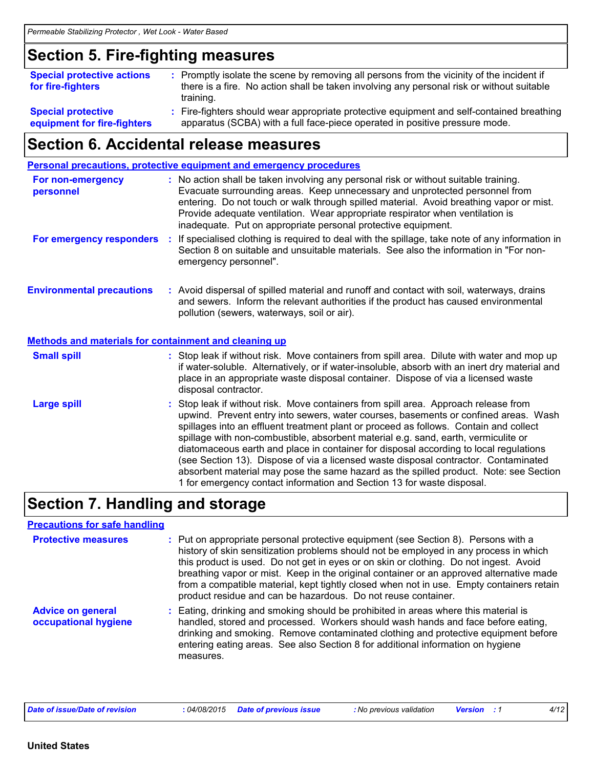### **Section 5. Fire-fighting measures**

| <b>Special protective actions</b><br>for fire-fighters   | : Promptly isolate the scene by removing all persons from the vicinity of the incident if<br>there is a fire. No action shall be taken involving any personal risk or without suitable<br>training. |  |
|----------------------------------------------------------|-----------------------------------------------------------------------------------------------------------------------------------------------------------------------------------------------------|--|
| <b>Special protective</b><br>equipment for fire-fighters | : Fire-fighters should wear appropriate protective equipment and self-contained breathing<br>apparatus (SCBA) with a full face-piece operated in positive pressure mode.                            |  |

### **Section 6. Accidental release measures**

|                                                              | <b>Personal precautions, protective equipment and emergency procedures</b>                                                                                                                                                                                                                                                                                                                                                                                                                                                                                                                                                         |
|--------------------------------------------------------------|------------------------------------------------------------------------------------------------------------------------------------------------------------------------------------------------------------------------------------------------------------------------------------------------------------------------------------------------------------------------------------------------------------------------------------------------------------------------------------------------------------------------------------------------------------------------------------------------------------------------------------|
| For non-emergency<br>personnel                               | : No action shall be taken involving any personal risk or without suitable training.<br>Evacuate surrounding areas. Keep unnecessary and unprotected personnel from<br>entering. Do not touch or walk through spilled material. Avoid breathing vapor or mist.<br>Provide adequate ventilation. Wear appropriate respirator when ventilation is<br>inadequate. Put on appropriate personal protective equipment.                                                                                                                                                                                                                   |
| For emergency responders                                     | : If specialised clothing is required to deal with the spillage, take note of any information in<br>Section 8 on suitable and unsuitable materials. See also the information in "For non-<br>emergency personnel".                                                                                                                                                                                                                                                                                                                                                                                                                 |
| <b>Environmental precautions</b>                             | : Avoid dispersal of spilled material and runoff and contact with soil, waterways, drains<br>and sewers. Inform the relevant authorities if the product has caused environmental<br>pollution (sewers, waterways, soil or air).                                                                                                                                                                                                                                                                                                                                                                                                    |
| <b>Methods and materials for containment and cleaning up</b> |                                                                                                                                                                                                                                                                                                                                                                                                                                                                                                                                                                                                                                    |
| <b>Small spill</b>                                           | : Stop leak if without risk. Move containers from spill area. Dilute with water and mop up<br>if water-soluble. Alternatively, or if water-insoluble, absorb with an inert dry material and<br>place in an appropriate waste disposal container. Dispose of via a licensed waste<br>disposal contractor.                                                                                                                                                                                                                                                                                                                           |
| <b>Large spill</b>                                           | : Stop leak if without risk. Move containers from spill area. Approach release from<br>upwind. Prevent entry into sewers, water courses, basements or confined areas. Wash<br>spillages into an effluent treatment plant or proceed as follows. Contain and collect<br>spillage with non-combustible, absorbent material e.g. sand, earth, vermiculite or<br>diatomaceous earth and place in container for disposal according to local regulations<br>(see Section 13). Dispose of via a licensed waste disposal contractor. Contaminated<br>absorbent material may pose the same hazard as the spilled product. Note: see Section |

1 for emergency contact information and Section 13 for waste disposal.

### **Section 7. Handling and storage**

#### **Precautions for safe handling**

| <b>Protective measures</b>                       | : Put on appropriate personal protective equipment (see Section 8). Persons with a<br>history of skin sensitization problems should not be employed in any process in which<br>this product is used. Do not get in eyes or on skin or clothing. Do not ingest. Avoid<br>breathing vapor or mist. Keep in the original container or an approved alternative made<br>from a compatible material, kept tightly closed when not in use. Empty containers retain<br>product residue and can be hazardous. Do not reuse container. |
|--------------------------------------------------|------------------------------------------------------------------------------------------------------------------------------------------------------------------------------------------------------------------------------------------------------------------------------------------------------------------------------------------------------------------------------------------------------------------------------------------------------------------------------------------------------------------------------|
| <b>Advice on general</b><br>occupational hygiene | : Eating, drinking and smoking should be prohibited in areas where this material is<br>handled, stored and processed. Workers should wash hands and face before eating,<br>drinking and smoking. Remove contaminated clothing and protective equipment before<br>entering eating areas. See also Section 8 for additional information on hygiene<br>measures.                                                                                                                                                                |

| Date of issue/Date of revision | : 04/08/2015 Date of previous issue |  | : No previous validation | Version |  | 4/12 |
|--------------------------------|-------------------------------------|--|--------------------------|---------|--|------|
|--------------------------------|-------------------------------------|--|--------------------------|---------|--|------|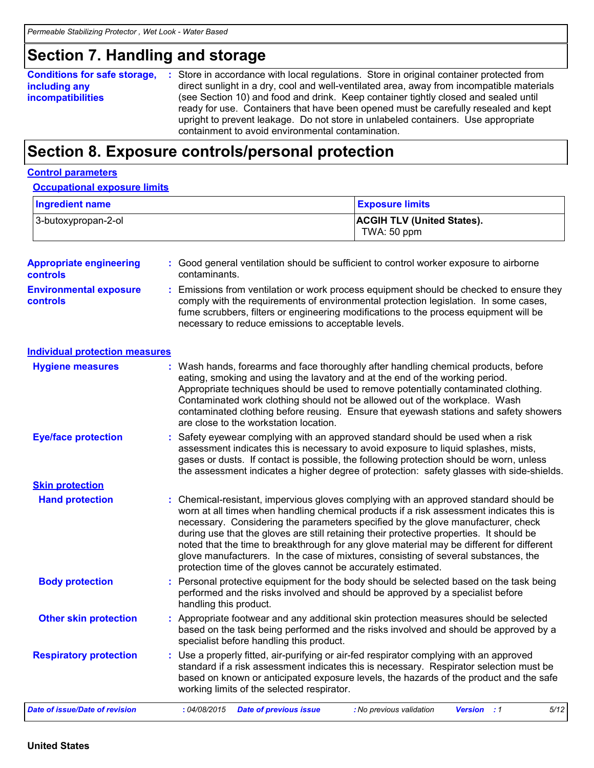### **Section 7. Handling and storage**

| <b>Conditions for safe storage,</b> | : Store in accordance with local regulations. Store in original container protected from  |
|-------------------------------------|-------------------------------------------------------------------------------------------|
| including any                       | direct sunlight in a dry, cool and well-ventilated area, away from incompatible materials |
| <b>incompatibilities</b>            | (see Section 10) and food and drink. Keep container tightly closed and sealed until       |
|                                     | ready for use. Containers that have been opened must be carefully resealed and kept       |
|                                     | upright to prevent leakage. Do not store in unlabeled containers. Use appropriate         |
|                                     | containment to avoid environmental contamination.                                         |

### **Section 8. Exposure controls/personal protection**

### **Control parameters**

#### **Occupational exposure limits**

| <b>Ingredient name</b> | <b>Exposure limits</b>                           |
|------------------------|--------------------------------------------------|
| 3-butoxypropan-2-ol    | <b>ACGIH TLV (United States).</b><br>TWA: 50 ppm |

| <b>Appropriate engineering</b><br>controls | : Good general ventilation should be sufficient to control worker exposure to airborne<br>contaminants.                                                                                                                                                                                                                                                                                                                                                                                                                                                                                                                |
|--------------------------------------------|------------------------------------------------------------------------------------------------------------------------------------------------------------------------------------------------------------------------------------------------------------------------------------------------------------------------------------------------------------------------------------------------------------------------------------------------------------------------------------------------------------------------------------------------------------------------------------------------------------------------|
| <b>Environmental exposure</b><br>controls  | : Emissions from ventilation or work process equipment should be checked to ensure they<br>comply with the requirements of environmental protection legislation. In some cases,<br>fume scrubbers, filters or engineering modifications to the process equipment will be<br>necessary to reduce emissions to acceptable levels.                                                                                                                                                                                                                                                                                        |
| <b>Individual protection measures</b>      |                                                                                                                                                                                                                                                                                                                                                                                                                                                                                                                                                                                                                        |
| <b>Hygiene measures</b>                    | : Wash hands, forearms and face thoroughly after handling chemical products, before<br>eating, smoking and using the lavatory and at the end of the working period.<br>Appropriate techniques should be used to remove potentially contaminated clothing.<br>Contaminated work clothing should not be allowed out of the workplace. Wash<br>contaminated clothing before reusing. Ensure that eyewash stations and safety showers<br>are close to the workstation location.                                                                                                                                            |
| <b>Eye/face protection</b>                 | Safety eyewear complying with an approved standard should be used when a risk<br>assessment indicates this is necessary to avoid exposure to liquid splashes, mists,<br>gases or dusts. If contact is possible, the following protection should be worn, unless<br>the assessment indicates a higher degree of protection: safety glasses with side-shields.                                                                                                                                                                                                                                                           |
| <b>Skin protection</b>                     |                                                                                                                                                                                                                                                                                                                                                                                                                                                                                                                                                                                                                        |
| <b>Hand protection</b>                     | : Chemical-resistant, impervious gloves complying with an approved standard should be<br>worn at all times when handling chemical products if a risk assessment indicates this is<br>necessary. Considering the parameters specified by the glove manufacturer, check<br>during use that the gloves are still retaining their protective properties. It should be<br>noted that the time to breakthrough for any glove material may be different for different<br>glove manufacturers. In the case of mixtures, consisting of several substances, the<br>protection time of the gloves cannot be accurately estimated. |
| <b>Body protection</b>                     | : Personal protective equipment for the body should be selected based on the task being<br>performed and the risks involved and should be approved by a specialist before<br>handling this product.                                                                                                                                                                                                                                                                                                                                                                                                                    |
| <b>Other skin protection</b>               | Appropriate footwear and any additional skin protection measures should be selected<br>based on the task being performed and the risks involved and should be approved by a<br>specialist before handling this product.                                                                                                                                                                                                                                                                                                                                                                                                |
| <b>Respiratory protection</b>              | : Use a properly fitted, air-purifying or air-fed respirator complying with an approved<br>standard if a risk assessment indicates this is necessary. Respirator selection must be<br>based on known or anticipated exposure levels, the hazards of the product and the safe<br>working limits of the selected respirator.                                                                                                                                                                                                                                                                                             |
| <b>Date of issue/Date of revision</b>      | : 04/08/2015<br><b>Date of previous issue</b><br><b>Version</b> : 1<br>5/12<br>: No previous validation                                                                                                                                                                                                                                                                                                                                                                                                                                                                                                                |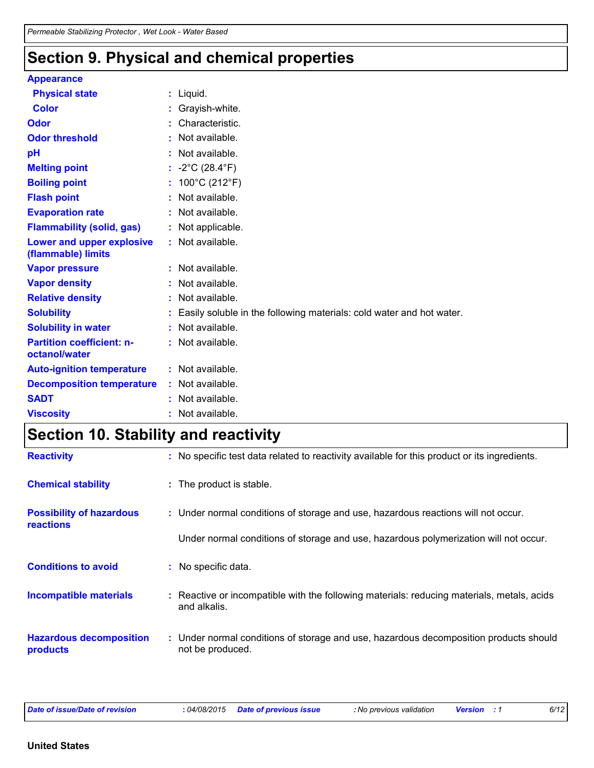### **Section 9. Physical and chemical properties**

#### **Physical state Melting point Vapor pressure Relative density Vapor density Solubility** Liquid. **:** -2°C (28.4°F) **: :** Not available. **:** Not available. **:** Not available. Easily soluble in the following materials: cold water and hot water. **: Odor** : Characteristic. **pH Color Color :** Grayish-white. **Evaporation rate Auto-ignition temperature Flash point :** Not available. **:** Not available. **:** Not available. **:** Not available. **Viscosity Constitution Constitution Constitution Constitution Constitution Constitution Constitution Constitution Constitution Constitution Constitution Constitution Constitution Constitution Constitution Constitution C Odor threshold Partition coefficient: noctanol/water :** Not available. : Not available. **Appearance Boiling point :** 100°C (212°F) **Flammability (solid, gas) : Lower and upper explosive (flammable) limits :** Not available. **SADT :** Not available. **Decomposition temperature :** Not available. **Solubility in water :** Not available. : Not applicable.

### **Section 10. Stability and reactivity**

| <b>Reactivity</b>                                   | : No specific test data related to reactivity available for this product or its ingredients.               |
|-----------------------------------------------------|------------------------------------------------------------------------------------------------------------|
| <b>Chemical stability</b>                           | : The product is stable.                                                                                   |
| <b>Possibility of hazardous</b><br><b>reactions</b> | : Under normal conditions of storage and use, hazardous reactions will not occur.                          |
|                                                     | Under normal conditions of storage and use, hazardous polymerization will not occur.                       |
| <b>Conditions to avoid</b>                          | : No specific data.                                                                                        |
| <b>Incompatible materials</b>                       | : Reactive or incompatible with the following materials: reducing materials, metals, acids<br>and alkalis. |
| <b>Hazardous decomposition</b><br>products          | : Under normal conditions of storage and use, hazardous decomposition products should<br>not be produced.  |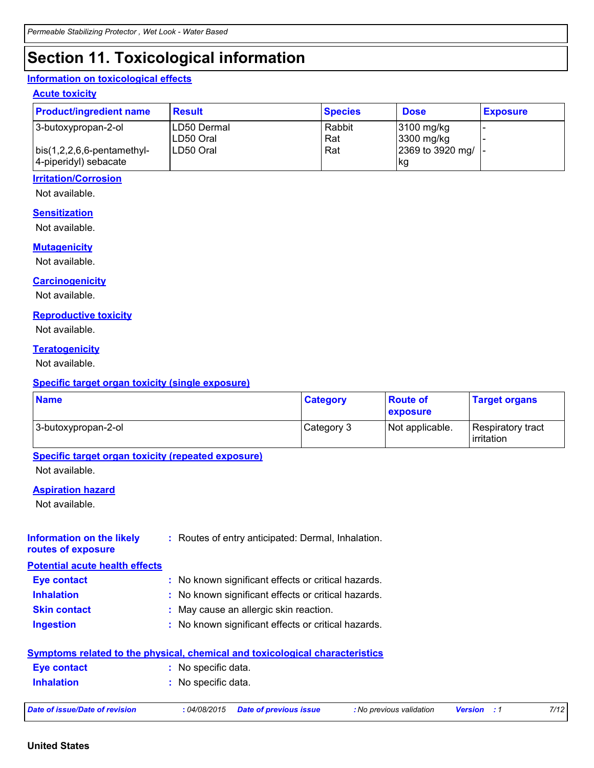### **Section 11. Toxicological information**

#### **Information on toxicological effects**

#### **Acute toxicity**

| <b>Product/ingredient name</b>                              | <b>Result</b>            | <b>Species</b> | <b>Dose</b>              | <b>Exposure</b> |
|-------------------------------------------------------------|--------------------------|----------------|--------------------------|-----------------|
| 3-butoxypropan-2-ol                                         | LD50 Dermal<br>LD50 Oral | Rabbit<br>Rat  | 3100 mg/kg<br>3300 mg/kg |                 |
| $\vert$ bis(1,2,2,6,6-pentamethyl-<br>4-piperidyl) sebacate | LD50 Oral                | Rat            | 2369 to 3920 mg/<br>-kg  |                 |

#### **Irritation/Corrosion**

Not available.

#### **Sensitization**

Not available.

#### **Mutagenicity**

Not available.

#### **Carcinogenicity**

Not available.

#### **Reproductive toxicity**

Not available.

#### **Teratogenicity**

Not available.

#### **Specific target organ toxicity (single exposure)**

| <b>Name</b>         | <b>Category</b> | <b>Route of</b><br>exposure | <b>Target organs</b>                     |
|---------------------|-----------------|-----------------------------|------------------------------------------|
| 3-butoxypropan-2-ol | Category 3      | Not applicable.             | Respiratory tract<br><b>l</b> irritation |

#### **Specific target organ toxicity (repeated exposure)**

Not available.

#### **Aspiration hazard**

Not available.

#### **Information on the likely routes of exposure :** Routes of entry anticipated: Dermal, Inhalation.

#### **Potential acute health effects**

| <b>Eye contact</b>  | : No known significant effects or critical hazards. |
|---------------------|-----------------------------------------------------|
| <b>Inhalation</b>   | : No known significant effects or critical hazards. |
| <b>Skin contact</b> | : May cause an allergic skin reaction.              |
| <b>Ingestion</b>    | : No known significant effects or critical hazards. |

|                    | Symptoms related to the physical, chemical and toxicological characteristics |
|--------------------|------------------------------------------------------------------------------|
| <b>Eve contact</b> | : No specific data.                                                          |
| <b>Inhalation</b>  | : No specific data.                                                          |
|                    |                                                                              |

|  | Date of issue/Date of revisio |  |
|--|-------------------------------|--|
|--|-------------------------------|--|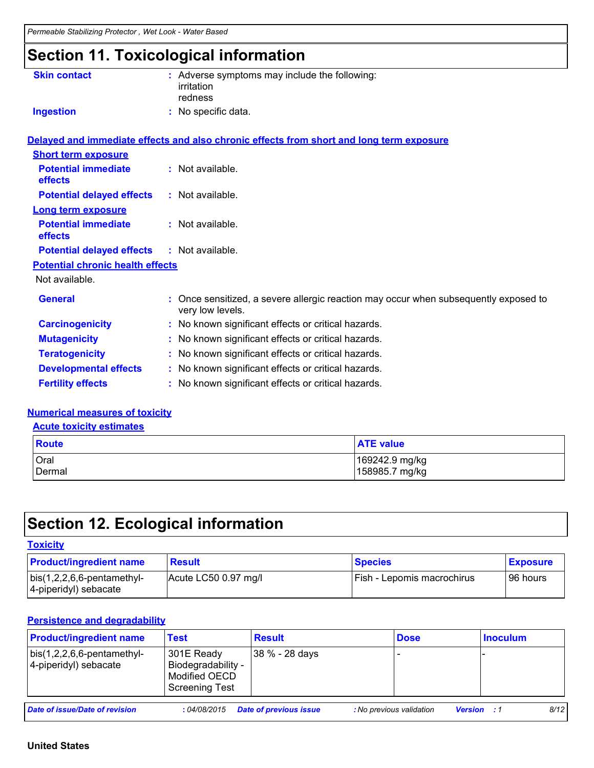### **Section 11. Toxicological information**

| <b>Skin contact</b>                     | : Adverse symptoms may include the following:<br>irritation<br>redness                                   |
|-----------------------------------------|----------------------------------------------------------------------------------------------------------|
| <b>Ingestion</b>                        | : No specific data.                                                                                      |
|                                         | Delayed and immediate effects and also chronic effects from short and long term exposure                 |
| <b>Short term exposure</b>              |                                                                                                          |
| <b>Potential immediate</b><br>effects   | $:$ Not available.                                                                                       |
| <b>Potential delayed effects</b>        | : Not available.                                                                                         |
| <b>Long term exposure</b>               |                                                                                                          |
| <b>Potential immediate</b><br>effects   | : Not available.                                                                                         |
| <b>Potential delayed effects</b>        | $:$ Not available.                                                                                       |
| <b>Potential chronic health effects</b> |                                                                                                          |
| Not available.                          |                                                                                                          |
| <b>General</b>                          | : Once sensitized, a severe allergic reaction may occur when subsequently exposed to<br>very low levels. |
| <b>Carcinogenicity</b>                  | : No known significant effects or critical hazards.                                                      |
| <b>Mutagenicity</b>                     | : No known significant effects or critical hazards.                                                      |
| <b>Teratogenicity</b>                   | : No known significant effects or critical hazards.                                                      |
| <b>Developmental effects</b>            | : No known significant effects or critical hazards.                                                      |
| <b>Fertility effects</b>                | : No known significant effects or critical hazards.                                                      |

#### **Numerical measures of toxicity**

#### **Acute toxicity estimates**

| <b>Route</b> | <b>ATE value</b> |
|--------------|------------------|
| Oral         | 169242.9 mg/kg   |
| Dermal       | 158985.7 mg/kg   |

### **Section 12. Ecological information**

| <b>Toxicity</b>                                             |                      |                                   |                 |
|-------------------------------------------------------------|----------------------|-----------------------------------|-----------------|
| <b>Product/ingredient name</b>                              | <b>Result</b>        | <b>Species</b>                    | <b>Exposure</b> |
| $\vert$ bis(1,2,2,6,6-pentamethyl-<br>4-piperidyl) sebacate | Acute LC50 0.97 mg/l | <b>Fish - Lepomis macrochirus</b> | 196 hours       |

#### **Persistence and degradability**

| <b>Product/ingredient name</b>                              | <b>Test</b>                                                                | <b>Result</b>                 | <b>Dose</b>              |                    | <b>Inoculum</b> |  |
|-------------------------------------------------------------|----------------------------------------------------------------------------|-------------------------------|--------------------------|--------------------|-----------------|--|
| $\vert$ bis(1,2,2,6,6-pentamethyl-<br>4-piperidyl) sebacate | 301E Ready<br>Biodegradability -<br>Modified OECD<br><b>Screening Test</b> | 38 % - 28 days                |                          |                    |                 |  |
| Date of issue/Date of revision                              | : 04/08/2015                                                               | <b>Date of previous issue</b> | : No previous validation | <b>Version</b> : 1 | 8/12            |  |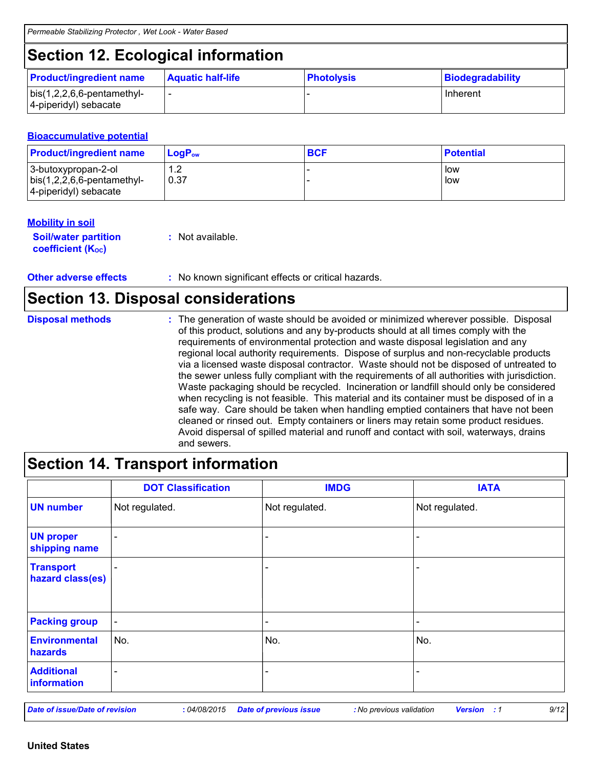### **Section 12. Ecological information**

| <b>Product/ingredient name</b>                              | <b>Aquatic half-life</b> | <b>Photolysis</b> | Biodegradability |
|-------------------------------------------------------------|--------------------------|-------------------|------------------|
| $\vert$ bis(1,2,2,6,6-pentamethyl-<br>4-piperidyl) sebacate |                          |                   | Inherent         |

#### **Bioaccumulative potential**

| <b>Product/ingredient name</b>                                                     | $LoaPow$    | <b>BCF</b> | <b>Potential</b> |
|------------------------------------------------------------------------------------|-------------|------------|------------------|
| 3-butoxypropan-2-ol<br>$\vert$ bis(1,2,2,6,6-pentamethyl-<br>4-piperidyl) sebacate | ے ،<br>0.37 |            | low<br>low       |

#### **Mobility in soil**

| <b>Soil/water partition</b> | : Not available. |
|-----------------------------|------------------|
| <b>coefficient (Koc)</b>    |                  |

**Other adverse effects** : No known significant effects or critical hazards.

### **Section 13. Disposal considerations**

| <b>Disposal methods</b> | : The generation of waste should be avoided or minimized wherever possible. Disposal<br>of this product, solutions and any by-products should at all times comply with the<br>requirements of environmental protection and waste disposal legislation and any                                                                                                                                                                                                         |
|-------------------------|-----------------------------------------------------------------------------------------------------------------------------------------------------------------------------------------------------------------------------------------------------------------------------------------------------------------------------------------------------------------------------------------------------------------------------------------------------------------------|
|                         | regional local authority requirements. Dispose of surplus and non-recyclable products<br>via a licensed waste disposal contractor. Waste should not be disposed of untreated to<br>the sewer unless fully compliant with the requirements of all authorities with jurisdiction.<br>Waste packaging should be recycled. Incineration or landfill should only be considered<br>when recycling is not feasible. This material and its container must be disposed of in a |
|                         | safe way. Care should be taken when handling emptied containers that have not been<br>cleaned or rinsed out. Empty containers or liners may retain some product residues.<br>Avoid dispersal of spilled material and runoff and contact with soil, waterways, drains<br>and sewers.                                                                                                                                                                                   |

### **Section 14. Transport information**

|                                      | <b>DOT Classification</b> | <b>IMDG</b>              | <b>IATA</b>    |
|--------------------------------------|---------------------------|--------------------------|----------------|
| <b>UN number</b>                     | Not regulated.            | Not regulated.           | Not regulated. |
| <b>UN proper</b><br>shipping name    | ۰                         |                          |                |
| <b>Transport</b><br>hazard class(es) |                           |                          |                |
| <b>Packing group</b>                 | $\blacksquare$            | $\overline{\phantom{0}}$ |                |
| <b>Environmental</b><br>hazards      | No.                       | No.                      | No.            |
| <b>Additional</b><br>information     |                           |                          |                |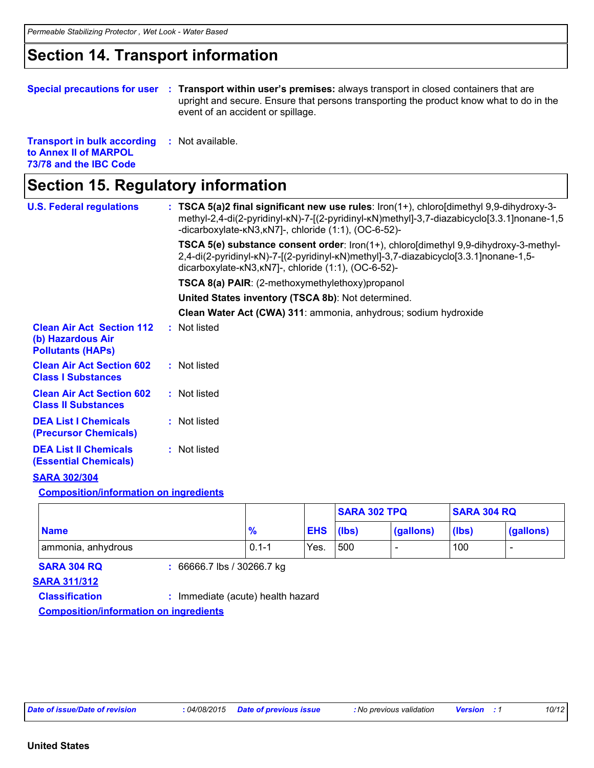### **Section 14. Transport information**

**Special precautions for user Transport within user's premises:** always transport in closed containers that are **:** upright and secure. Ensure that persons transporting the product know what to do in the event of an accident or spillage.

| <b>Transport in bulk according</b> | : Not available. |
|------------------------------------|------------------|
| to Annex II of MARPOL              |                  |
| 73/78 and the IBC Code             |                  |

## **Section 15. Regulatory information**

| <b>U.S. Federal regulations</b>                                                   |  | TSCA 5(a)2 final significant new use rules: Iron(1+), chloro[dimethyl 9,9-dihydroxy-3-<br>methyl-2,4-di(2-pyridinyl-kN)-7-[(2-pyridinyl-kN)methyl]-3,7-diazabicyclo[3.3.1]nonane-1,5<br>-dicarboxylate-kN3, kN7]-, chloride (1:1), (OC-6-52)- |
|-----------------------------------------------------------------------------------|--|-----------------------------------------------------------------------------------------------------------------------------------------------------------------------------------------------------------------------------------------------|
|                                                                                   |  | TSCA 5(e) substance consent order: Iron(1+), chloro[dimethyl 9,9-dihydroxy-3-methyl-<br>2,4-di(2-pyridinyl-kN)-7-[(2-pyridinyl-kN)methyl]-3,7-diazabicyclo[3.3.1]nonane-1,5-<br>dicarboxylate- $kN3,kN7$ ]-, chloride $(1:1)$ , $(OC-6-52)$ - |
|                                                                                   |  | TSCA 8(a) PAIR: (2-methoxymethylethoxy)propanol                                                                                                                                                                                               |
|                                                                                   |  | United States inventory (TSCA 8b): Not determined.                                                                                                                                                                                            |
|                                                                                   |  | Clean Water Act (CWA) 311: ammonia, anhydrous; sodium hydroxide                                                                                                                                                                               |
| <b>Clean Air Act Section 112</b><br>(b) Hazardous Air<br><b>Pollutants (HAPS)</b> |  | : Not listed                                                                                                                                                                                                                                  |
| <b>Clean Air Act Section 602</b><br><b>Class I Substances</b>                     |  | : Not listed                                                                                                                                                                                                                                  |
| <b>Clean Air Act Section 602</b><br><b>Class II Substances</b>                    |  | : Not listed                                                                                                                                                                                                                                  |
| <b>DEA List I Chemicals</b><br>(Precursor Chemicals)                              |  | : Not listed                                                                                                                                                                                                                                  |
| <b>DEA List II Chemicals</b><br><b>(Essential Chemicals)</b>                      |  | : Not listed                                                                                                                                                                                                                                  |
| <b>SARA 302/304</b>                                                               |  |                                                                                                                                                                                                                                               |

**Composition/information on ingredients**

|                    |               |                  | <b>SARA 302 TPQ</b> |           | <b>SARA 304 RQ</b> |                          |
|--------------------|---------------|------------------|---------------------|-----------|--------------------|--------------------------|
| <b>Name</b>        | $\frac{9}{6}$ | <b>EHS</b> (lbs) |                     | (gallons) | (lbs)              | (gallons)                |
| ammonia, anhydrous | $0.1 - 1$     | Yes.             | 500                 | -         | 100                | $\overline{\phantom{a}}$ |

**SARA 304 RQ :** 66666.7 lbs / 30266.7 kg

#### **SARA 311/312**

**Classification :** Immediate (acute) health hazard

**Composition/information on ingredients**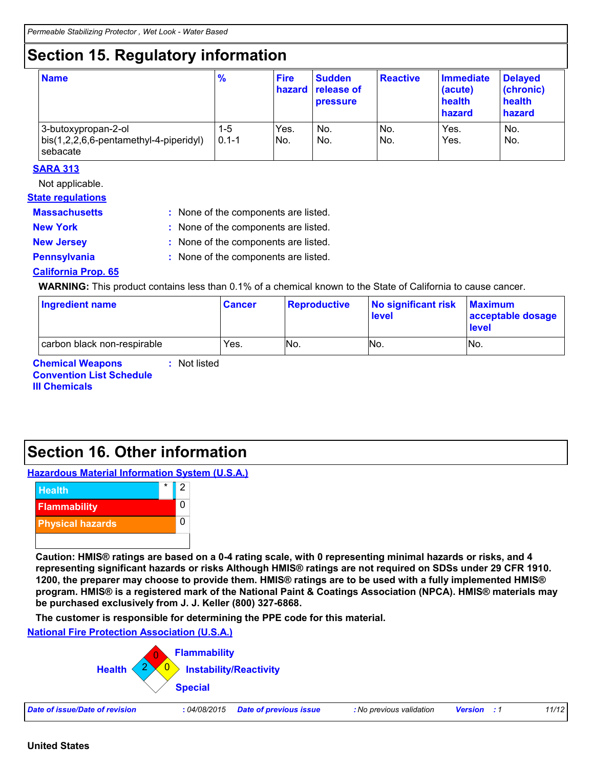### **Section 15. Regulatory information**

| <b>Name</b>                                                                 | $\frac{9}{6}$    | <b>Fire</b> | <b>Sudden</b><br>hazard release of<br><b>pressure</b> | <b>Reactive</b> | Immediate<br>(acute)<br>health<br>hazard | <b>Delayed</b><br>(chronic)<br>health<br>hazard |
|-----------------------------------------------------------------------------|------------------|-------------|-------------------------------------------------------|-----------------|------------------------------------------|-------------------------------------------------|
| 3-butoxypropan-2-ol<br>  bis(1,2,2,6,6-pentamethyl-4-piperidyl)<br>sebacate | 1-5<br>$0.1 - 1$ | Yes.<br>No. | No.<br>No.                                            | No.<br>No.      | Yes.<br>Yes.                             | No.<br>No.                                      |

#### **SARA 313**

Not applicable.

#### **State regulations**

- **Massachusetts :**
- 
- : None of the components are listed.
- **New York :** None of the components are listed.
- **New Jersey :** None of the components are listed.
- 
- **Pennsylvania :** None of the components are listed.

#### **California Prop. 65**

**WARNING:** This product contains less than 0.1% of a chemical known to the State of California to cause cancer.

| <b>Ingredient name</b>      | <b>Cancer</b> | <b>Reproductive</b> | No significant risk<br><b>level</b> | <b>Maximum</b><br>acceptable dosage<br>level |
|-----------------------------|---------------|---------------------|-------------------------------------|----------------------------------------------|
| carbon black non-respirable | Yes.          | No.                 | No.                                 | No.                                          |

**Chemical Weapons Convention List Schedule**  **:** Not listed

**III Chemicals**

### **Section 16. Other information**

#### **Hazardous Material Information System (U.S.A.)**



**Caution: HMIS® ratings are based on a 0-4 rating scale, with 0 representing minimal hazards or risks, and 4 representing significant hazards or risks Although HMIS® ratings are not required on SDSs under 29 CFR 1910. 1200, the preparer may choose to provide them. HMIS® ratings are to be used with a fully implemented HMIS® program. HMIS® is a registered mark of the National Paint & Coatings Association (NPCA). HMIS® materials may be purchased exclusively from J. J. Keller (800) 327-6868.**

**The customer is responsible for determining the PPE code for this material.**

**National Fire Protection Association (U.S.A.)**